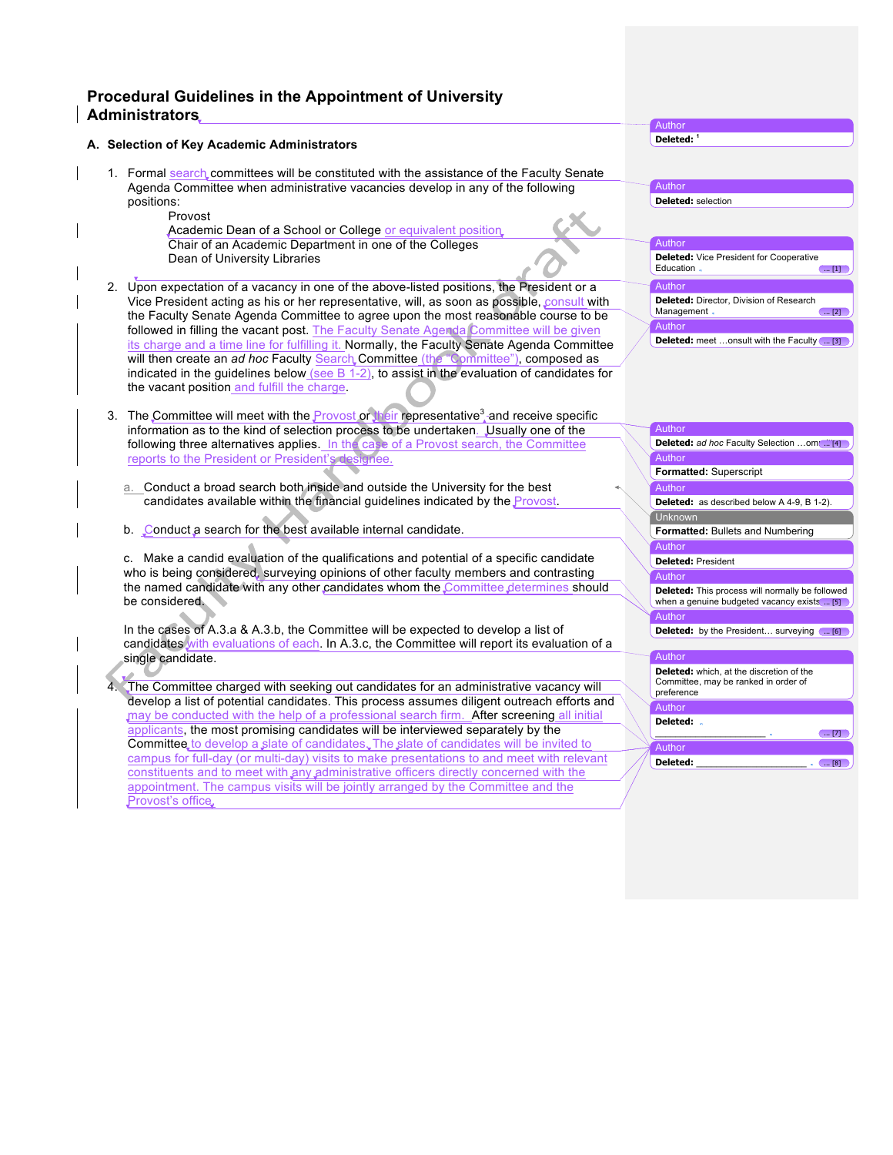## **Procedural Guidelines in the Appointment of University Administrators**

## **A. Selection of Key Academic Administrators**

- 1. Formal search committees will be constituted with the assistance of the Faculty Senate Agenda Committee when administrative vacancies develop in any of the following positions:
	- Provost
	- Academic Dean of a School or College or equivalent position. Chair of an Academic Department in one of the Colleges Dean of University Libraries
- 2. Upon expectation of a vacancy in one of the above-listed positions, the President or a Vice President acting as his or her representative, will, as soon as possible, consult with the Faculty Senate Agenda Committee to agree upon the most reasonable course to be followed in filling the vacant post. The Faculty Senate Agenda Committee will be given its charge and a time line for fulfilling it. Normally, the Faculty Senate Agenda Committee will then create an *ad hoc* Faculty Search Committee (the "Committee"), composed as indicated in the guidelines below (see  $B$  1-2), to assist in the evaluation of candidates for the vacant position and fulfill the charge.
- 3. The Committee will meet with the **Provost or their representative<sup>3</sup>** and receive specific information as to the kind of selection process to be undertaken. Usually one of the following three alternatives applies. In the case of a Provost search, the Committee reports to the President or President's designee.
	- a. Conduct a broad search both inside and outside the University for the best candidates available within the financial guidelines indicated by the Provost.
	- b. Conduct a search for the best available internal candidate.

c. Make a candid evaluation of the qualifications and potential of a specific candidate who is being considered, surveying opinions of other faculty members and contrasting the named candidate with any other candidates whom the Committee determines should be considered.

In the cases of A.3.a & A.3.b, the Committee will be expected to develop a list of candidates with evaluations of each. In A.3.c, the Committee will report its evaluation of a single candidate.

4. The Committee charged with seeking out candidates for an administrative vacancy will develop a list of potential candidates. This process assumes diligent outreach efforts and may be conducted with the help of a professional search firm. After screening all initial applicants, the most promising candidates will be interviewed separately by the Committee to develop a slate of candidates. The slate of candidates will be invited to campus for full-day (or multi-day) visits to make presentations to and meet with relevant constituents and to meet with any administrative officers directly concerned with the appointment. The campus visits will be jointly arranged by the Committee and the Provost's office.

| -leter<br>. .<br>× |  |
|--------------------|--|
|                    |  |

Author **Deleted: <sup>1</sup>**

Author

**Deleted:** selection Author **Deleted:** Vice President for Cooperative<br>Education Education Author **Deleted:** Director, Division of Research<br>Management Management . **Author Deleted:** meet ...onsult with the Faculty ... [3]

| Author                                                                                                |
|-------------------------------------------------------------------------------------------------------|
| <b>Deleted:</b> ad hoc Faculty Selection om [ [4]                                                     |
| Author                                                                                                |
| <b>Formatted: Superscript</b>                                                                         |
| Author                                                                                                |
| Deleted: as described below A 4-9, B 1-2).                                                            |
| Unknown                                                                                               |
| <b>Formatted:</b> Bullets and Numbering                                                               |
| Author                                                                                                |
| Deleted: President                                                                                    |
| Author                                                                                                |
| <b>Deleted:</b> This process will normally be followed<br>when a genuine budgeted vacancy exists  [5] |
| Author                                                                                                |
| <b>Deleted:</b> by the President surveying ( [6]                                                      |
| Author                                                                                                |
| <b>Deleted:</b> which, at the discretion of the<br>Committee, may be ranked in order of<br>preference |
| Author                                                                                                |
| Deleted:<br>[7]                                                                                       |

**Deleted:**  $\qquad \qquad \qquad$ 

Author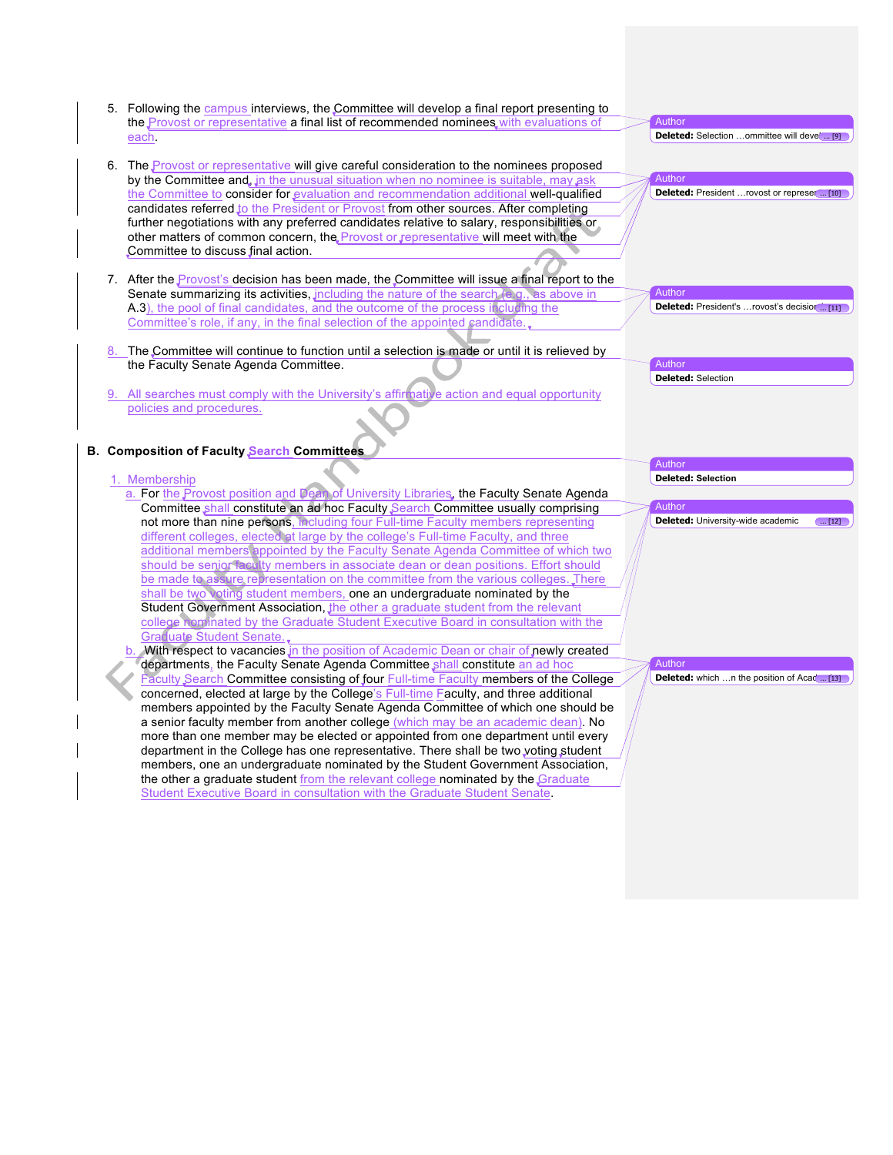5. Following the campus interviews, the Committee will develop a final report presenting to the Provost or representative a final list of recommended nominees with evaluations of each. 6. The Provost or representative will give careful consideration to the nominees proposed by the Committee and, in the unusual situation when no nominee is suitable, may ask the Committee to consider for evaluation and recommendation additional well-qualified candidates referred to the President or Provost from other sources. After completing further negotiations with any preferred candidates relative to salary, responsibilities or other matters of common concern, the Provost or representative will meet with the Committee to discuss final action. 7. After the *Provost's* decision has been made, the Committee will issue a final report to the Senate summarizing its activities, including the nature of the search (e.g., as above in A.3), the pool of final candidates, and the outcome of the process including the Committee's role, if any, in the final selection of the appointed candidate. The Committee will continue to function until a selection is made or until it is relieved by the Faculty Senate Agenda Committee. 9. All searches must comply with the University's affirmative action and equal opportunity policies and procedures. **B. Composition of Faculty Search Committees** 1. Membership a. For the Provost position and Dean of University Libraries, the Faculty Senate Agenda Committee shall constitute an ad hoc Faculty Search Committee usually comprising not more than nine persons, including four Full-time Faculty members representing different colleges, elected at large by the college's Full-time Faculty, and three additional members appointed by the Faculty Senate Agenda Committee of which two should be senior faculty members in associate dean or dean positions. Effort should be made to assure representation on the committee from the various colleges. There shall be two voting student members, one an undergraduate nominated by the Student Government Association, the other a graduate student from the relevant college nominated by the Graduate Student Executive Board in consultation with the Graduate Student Senate. b. With respect to vacancies in the position of Academic Dean or chair of newly created departments, the Faculty Senate Agenda Committee shall constitute an ad hoc Faculty Search Committee consisting of four Full-time Faculty members of the College concerned, elected at large by the College's Full-time Faculty, and three additional members appointed by the Faculty Senate Agenda Committee of which one should be a senior faculty member from another college (which may be an academic dean). No more than one member may be elected or appointed from one department until every department in the College has one representative. There shall be two voting student members, one an undergraduate nominated by the Student Government Association, the other a graduate student from the relevant college nominated by the Graduate Student Executive Board in consultation with the Graduate Student Senate. Author **Deleted:** Selection ...ommittee will devel ... [9] Author **Deleted:** President ... rovost or represe $\left( \frac{10}{2} \right)$ Author **Deleted:** President's ... rovost's decision ... [11] Author **Deleted:** Selection Author **Deleted: Selection**  Author **Deleted:** University-wide academic ... [12] Author **Deleted:** which ...n the position of Acad ... [13]